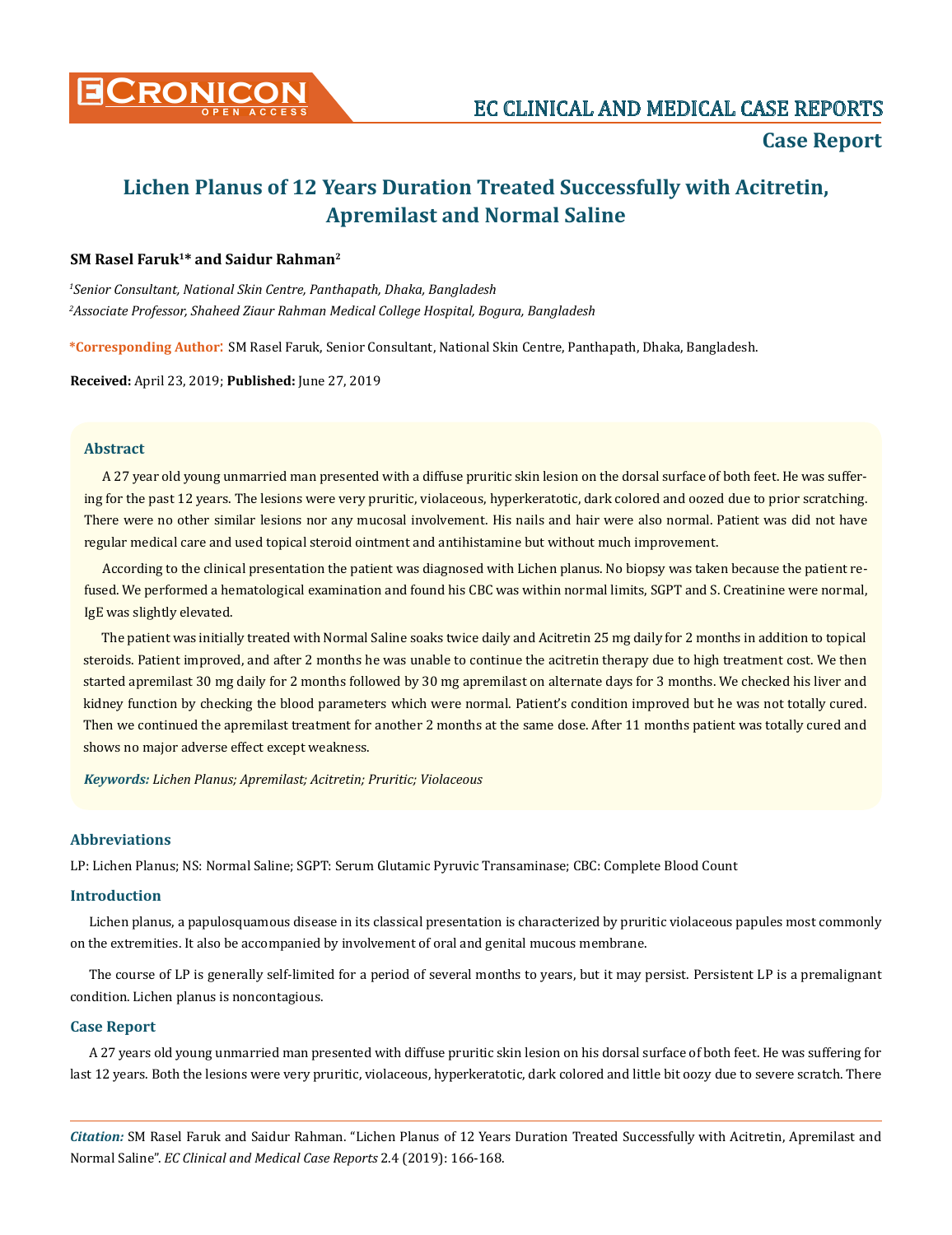

# **Case Report**

# **Lichen Planus of 12 Years Duration Treated Successfully with Acitretin, Apremilast and Normal Saline**

# **SM Rasel Faruk1\* and Saidur Rahman2**

*1 Senior Consultant, National Skin Centre, Panthapath, Dhaka, Bangladesh 2 Associate Professor, Shaheed Ziaur Rahman Medical College Hospital, Bogura, Bangladesh*

**\*Corresponding Author**: SM Rasel Faruk, Senior Consultant, National Skin Centre, Panthapath, Dhaka, Bangladesh.

**Received:** April 23, 2019; **Published:** June 27, 2019

#### **Abstract**

A 27 year old young unmarried man presented with a diffuse pruritic skin lesion on the dorsal surface of both feet. He was suffering for the past 12 years. The lesions were very pruritic, violaceous, hyperkeratotic, dark colored and oozed due to prior scratching. There were no other similar lesions nor any mucosal involvement. His nails and hair were also normal. Patient was did not have regular medical care and used topical steroid ointment and antihistamine but without much improvement.

According to the clinical presentation the patient was diagnosed with Lichen planus. No biopsy was taken because the patient refused. We performed a hematological examination and found his CBC was within normal limits, SGPT and S. Creatinine were normal, IgE was slightly elevated.

The patient was initially treated with Normal Saline soaks twice daily and Acitretin 25 mg daily for 2 months in addition to topical steroids. Patient improved, and after 2 months he was unable to continue the acitretin therapy due to high treatment cost. We then started apremilast 30 mg daily for 2 months followed by 30 mg apremilast on alternate days for 3 months. We checked his liver and kidney function by checking the blood parameters which were normal. Patient's condition improved but he was not totally cured. Then we continued the apremilast treatment for another 2 months at the same dose. After 11 months patient was totally cured and shows no major adverse effect except weakness.

*Keywords: Lichen Planus; Apremilast; Acitretin; Pruritic; Violaceous*

#### **Abbreviations**

LP: Lichen Planus; NS: Normal Saline; SGPT: Serum Glutamic Pyruvic Transaminase; CBC: Complete Blood Count

## **Introduction**

Lichen planus, a papulosquamous disease in its classical presentation is characterized by pruritic violaceous papules most commonly on the extremities. It also be accompanied by involvement of oral and genital mucous membrane.

The course of LP is generally self-limited for a period of several months to years, but it may persist. Persistent LP is a premalignant condition. Lichen planus is noncontagious.

## **Case Report**

A 27 years old young unmarried man presented with diffuse pruritic skin lesion on his dorsal surface of both feet. He was suffering for last 12 years. Both the lesions were very pruritic, violaceous, hyperkeratotic, dark colored and little bit oozy due to severe scratch. There

*Citation:* SM Rasel Faruk and Saidur Rahman. "Lichen Planus of 12 Years Duration Treated Successfully with Acitretin, Apremilast and Normal Saline". *EC Clinical and Medical Case Reports* 2.4 (2019): 166-168.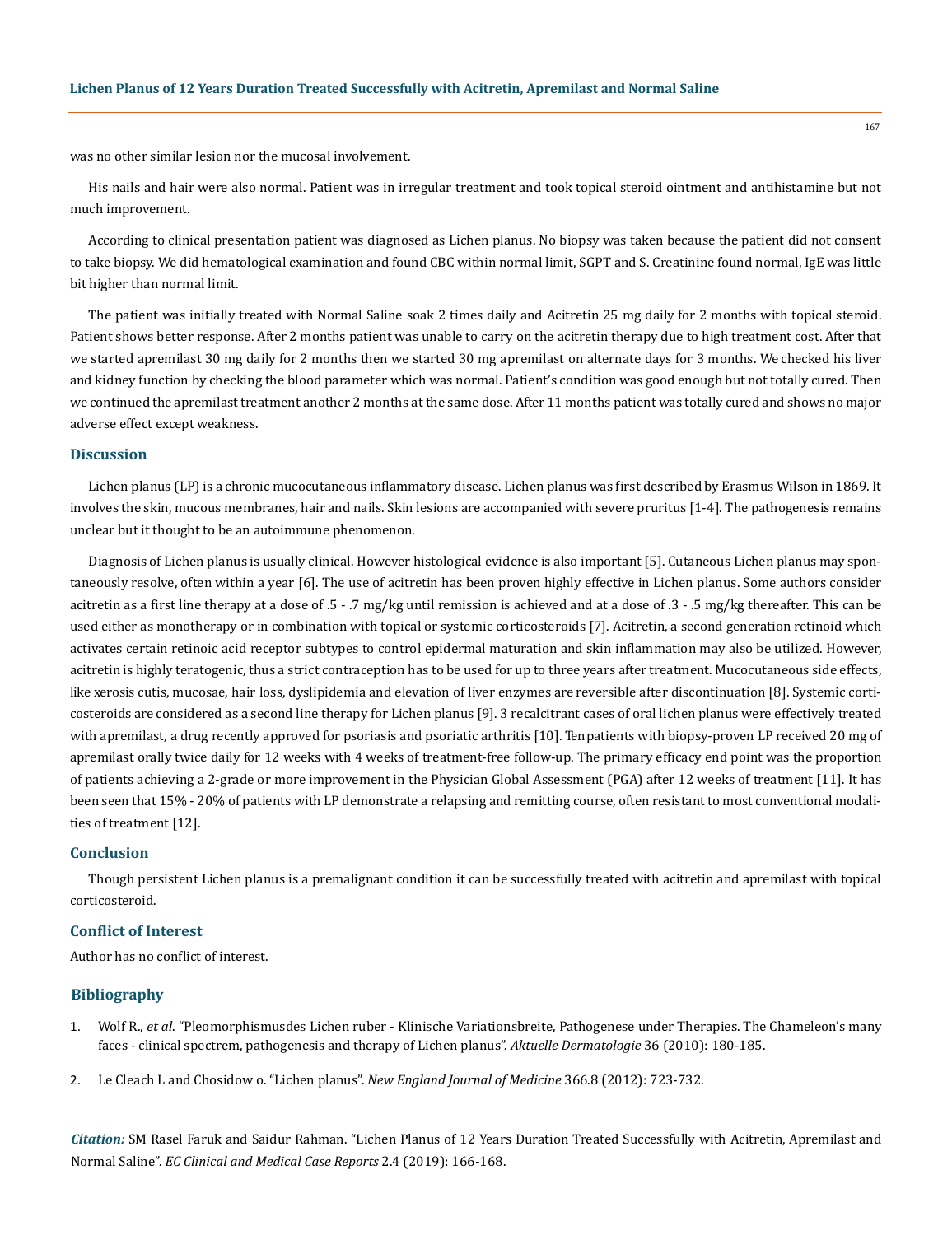was no other similar lesion nor the mucosal involvement.

His nails and hair were also normal. Patient was in irregular treatment and took topical steroid ointment and antihistamine but not much improvement.

According to clinical presentation patient was diagnosed as Lichen planus. No biopsy was taken because the patient did not consent to take biopsy. We did hematological examination and found CBC within normal limit, SGPT and S. Creatinine found normal, IgE was little bit higher than normal limit.

The patient was initially treated with Normal Saline soak 2 times daily and Acitretin 25 mg daily for 2 months with topical steroid. Patient shows better response. After 2 months patient was unable to carry on the acitretin therapy due to high treatment cost. After that we started apremilast 30 mg daily for 2 months then we started 30 mg apremilast on alternate days for 3 months. We checked his liver and kidney function by checking the blood parameter which was normal. Patient's condition was good enough but not totally cured. Then we continued the apremilast treatment another 2 months at the same dose. After 11 months patient was totally cured and shows no major adverse effect except weakness.

#### **Discussion**

Lichen planus (LP) is a chronic mucocutaneous inflammatory disease. Lichen planus was first described by Erasmus Wilson in 1869. It involves the skin, mucous membranes, hair and nails. Skin lesions are accompanied with severe pruritus [1-4]. The pathogenesis remains unclear but it thought to be an autoimmune phenomenon.

Diagnosis of Lichen planus is usually clinical. However histological evidence is also important [5]. Cutaneous Lichen planus may spontaneously resolve, often within a year [6]. The use of acitretin has been proven highly effective in Lichen planus. Some authors consider acitretin as a first line therapy at a dose of .5 - .7 mg/kg until remission is achieved and at a dose of .3 - .5 mg/kg thereafter. This can be used either as monotherapy or in combination with topical or systemic corticosteroids [7]. Acitretin, a second generation retinoid which activates certain retinoic acid receptor subtypes to control epidermal maturation and skin inflammation may also be utilized. However, acitretin is highly teratogenic, thus a strict contraception has to be used for up to three years after treatment. Mucocutaneous side effects, like xerosis cutis, mucosae, hair loss, dyslipidemia and elevation of liver enzymes are reversible after discontinuation [8]. Systemic corticosteroids are considered as a second line therapy for Lichen planus [9]. 3 recalcitrant cases of oral lichen planus were effectively treated with apremilast, a drug recently approved for psoriasis and psoriatic arthritis [10]. Ten patients with biopsy-proven LP received 20 mg of apremilast orally twice daily for 12 weeks with 4 weeks of treatment-free follow-up. The primary efficacy end point was the proportion of patients achieving a 2-grade or more improvement in the Physician Global Assessment (PGA) after 12 weeks of treatment [11]. It has been seen that 15% - 20% of patients with LP demonstrate a relapsing and remitting course, often resistant to most conventional modalities of treatment [12].

#### **Conclusion**

Though persistent Lichen planus is a premalignant condition it can be successfully treated with acitretin and apremilast with topical corticosteroid.

#### **Conflict of Interest**

Author has no conflict of interest.

#### **Bibliography**

- 1. Wolf R., *et al*[. "Pleomorphismusdes Lichen ruber Klinische Variationsbreite, Pathogenese under Therapies. The Chameleon's many](https://pdfs.semanticscholar.org/3833/95f37c6378bce44ae3903a864b2289919cc9.pdf) [faces - clinical spectrem, pathogenesis and therapy of Lichen planus".](https://pdfs.semanticscholar.org/3833/95f37c6378bce44ae3903a864b2289919cc9.pdf) *Aktuelle Dermatologie* 36 (2010): 180-185.
- 2. [Le Cleach L and Chosidow o. "Lichen planus".](https://www.ncbi.nlm.nih.gov/pubmed/22356325) *New England Journal of Medicine* 366.8 (2012): 723-732.

*Citation:* SM Rasel Faruk and Saidur Rahman. "Lichen Planus of 12 Years Duration Treated Successfully with Acitretin, Apremilast and Normal Saline". *EC Clinical and Medical Case Reports* 2.4 (2019): 166-168.

167